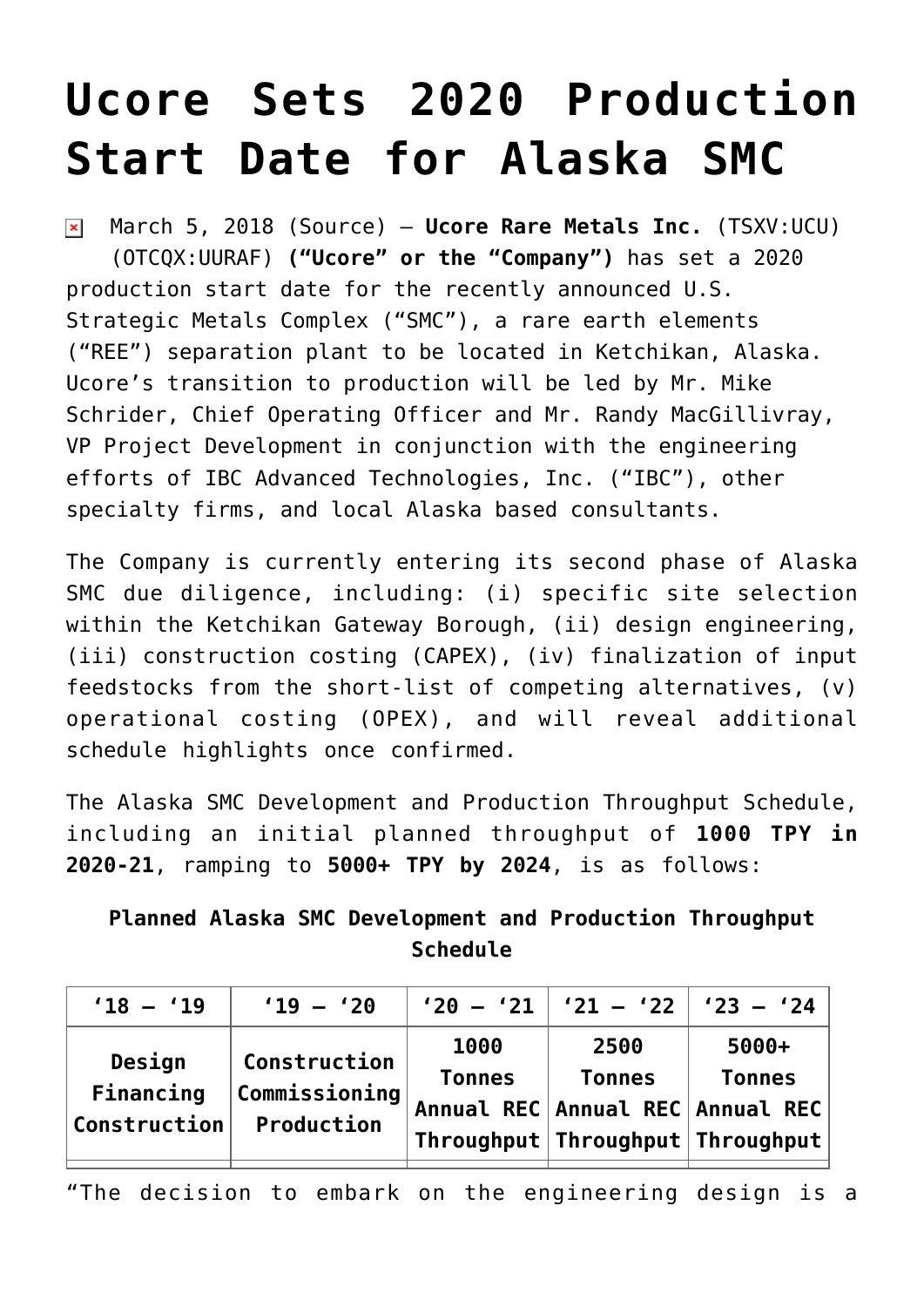## **[Ucore Sets 2020 Production](https://investorintel.com/markets/technology-metals/technology-metals-news/ucore-sets-2020-production-start-date-alaska-smc/) [Start Date for Alaska SMC](https://investorintel.com/markets/technology-metals/technology-metals-news/ucore-sets-2020-production-start-date-alaska-smc/)**

March 5, 2018 ([Source\)](https://investorintel.com/iintel-members/ucore-rare-metals-inc/) — **Ucore Rare Metals Inc.** (TSXV:UCU)  $\pmb{\times}$ (OTCQX:UURAF) **("Ucore" or the "Company")** has set a 2020 production start date for the recently announced U.S. Strategic Metals Complex ("SMC"), a rare earth elements ("REE") separation plant to be located in Ketchikan, Alaska. Ucore's transition to production will be led by Mr. Mike Schrider, Chief Operating Officer and Mr. Randy MacGillivray, VP Project Development in conjunction with the engineering efforts of IBC Advanced Technologies, Inc. ("IBC"), other specialty firms, and local Alaska based consultants.

The Company is currently entering its second phase of Alaska SMC due diligence, including: (i) specific site selection within the Ketchikan Gateway Borough, (ii) design engineering, (iii) construction costing (CAPEX), (iv) finalization of input feedstocks from the short-list of competing alternatives, (v) operational costing (OPEX), and will reveal additional schedule highlights once confirmed.

The Alaska SMC Development and Production Throughput Schedule, including an initial planned throughput of **1000 TPY in 2020-21**, ramping to **5000+ TPY by 2024**, is as follows:

**Planned Alaska SMC Development and Production Throughput Schedule**

| $'18 - '19$                         | $'19 - '20$                                 |                       | $'20 - '21$ $'21 - '22$ $'23 - '24$ |                                                                                                                              |
|-------------------------------------|---------------------------------------------|-----------------------|-------------------------------------|------------------------------------------------------------------------------------------------------------------------------|
| Design<br>Financing<br>Construction | Construction<br>Commissioning<br>Production | 1000<br><b>Tonnes</b> | 2500<br><b>Tonnes</b>               | $5000+$<br><b>Tonnes</b><br>Annual REC Annual REC Annual REC<br>$\mid$ Throughput $\mid$ Throughput $\mid$ Throughput $\mid$ |

"The decision to embark on the engineering design is a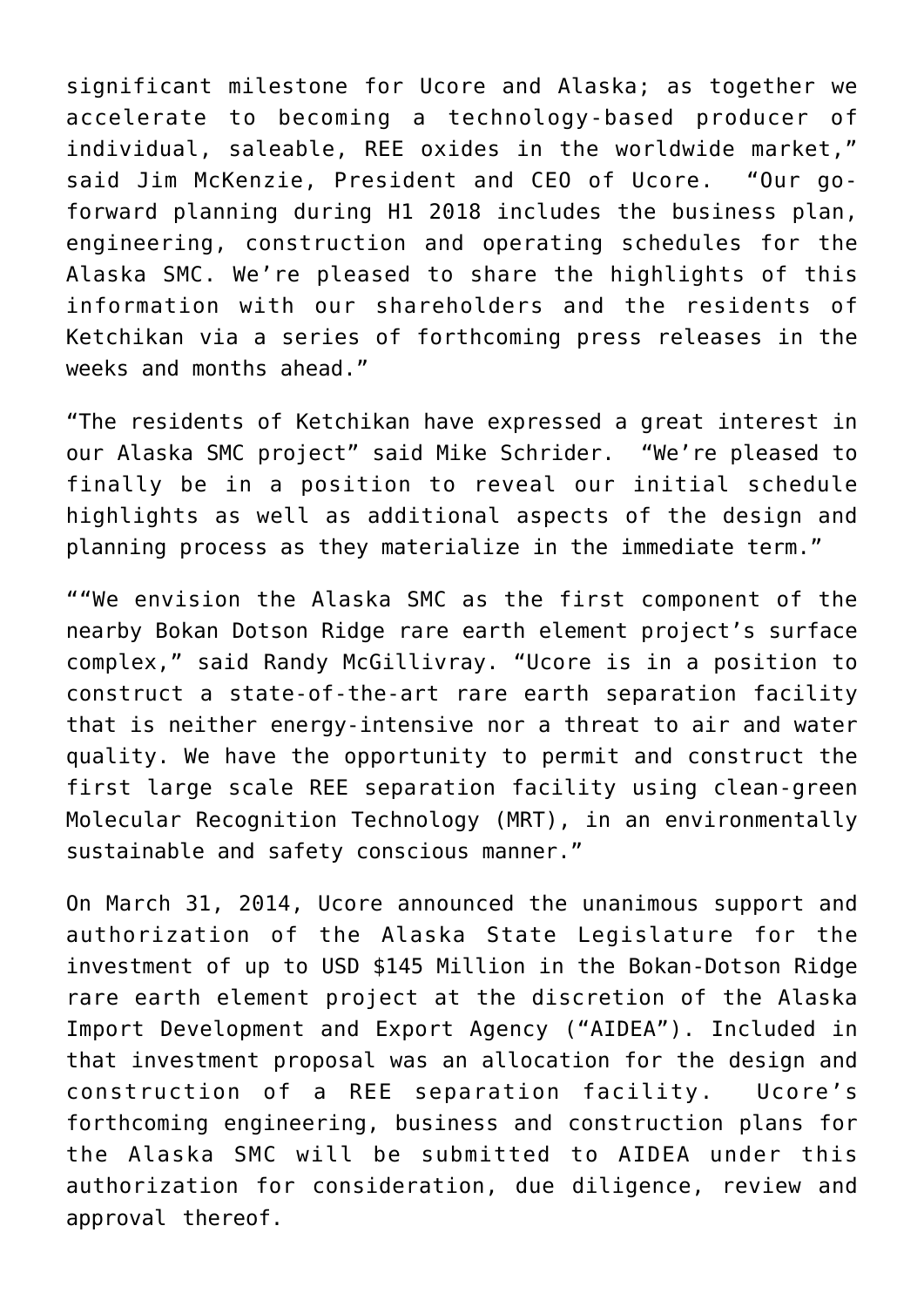significant milestone for Ucore and Alaska; as together we accelerate to becoming a technology-based producer of individual, saleable, REE oxides in the worldwide market," said Jim McKenzie, President and CEO of Ucore. "Our goforward planning during H1 2018 includes the business plan, engineering, construction and operating schedules for the Alaska SMC. We're pleased to share the highlights of this information with our shareholders and the residents of Ketchikan via a series of forthcoming press releases in the weeks and months ahead."

"The residents of Ketchikan have expressed a great interest in our Alaska SMC project" said Mike Schrider. "We're pleased to finally be in a position to reveal our initial schedule highlights as well as additional aspects of the design and planning process as they materialize in the immediate term."

""We envision the Alaska SMC as the first component of the nearby Bokan Dotson Ridge rare earth element project's surface complex," said Randy McGillivray. "Ucore is in a position to construct a state-of-the-art rare earth separation facility that is neither energy-intensive nor a threat to air and water quality. We have the opportunity to permit and construct the first large scale REE separation facility using clean-green Molecular Recognition Technology (MRT), in an environmentally sustainable and safety conscious manner."

On March 31, 2014, Ucore announced the unanimous support and authorization of the Alaska State Legislature for the investment of up to USD \$145 Million in the Bokan-Dotson Ridge rare earth element project at the discretion of the Alaska Import Development and Export Agency ("AIDEA"). Included in that investment proposal was an allocation for the design and construction of a REE separation facility. Ucore's forthcoming engineering, business and construction plans for the Alaska SMC will be submitted to AIDEA under this authorization for consideration, due diligence, review and approval thereof.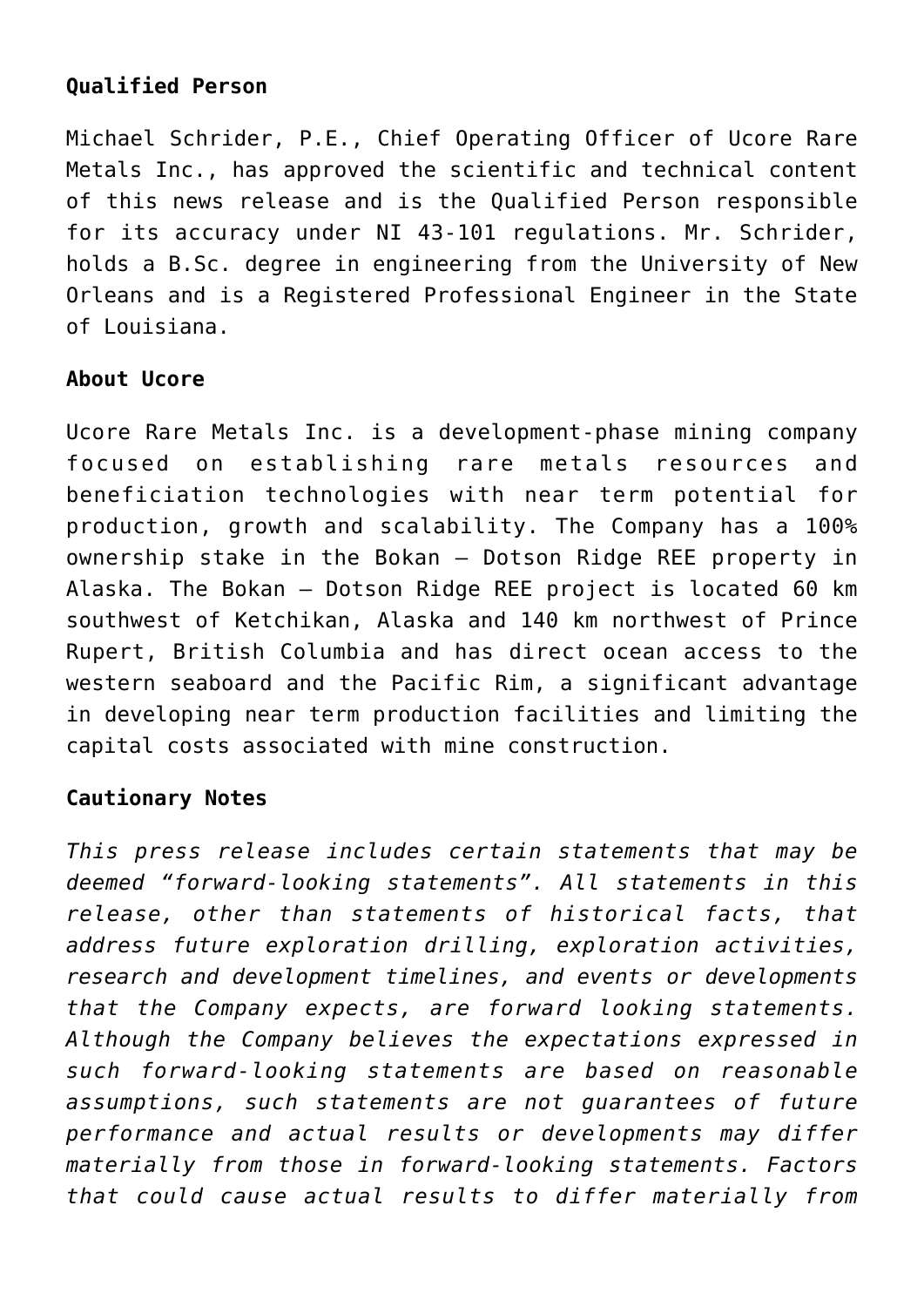## **Qualified Person**

Michael Schrider, P.E., Chief Operating Officer of Ucore Rare Metals Inc., has approved the scientific and technical content of this news release and is the Qualified Person responsible for its accuracy under NI 43-101 regulations. Mr. Schrider, holds a B.Sc. degree in engineering from the University of New Orleans and is a Registered Professional Engineer in the State of Louisiana.

## **About Ucore**

Ucore Rare Metals Inc. is a development-phase mining company focused on establishing rare metals resources and beneficiation technologies with near term potential for production, growth and scalability. The Company has a 100% ownership stake in the Bokan – Dotson Ridge REE property in Alaska. The Bokan – Dotson Ridge REE project is located 60 km southwest of Ketchikan, Alaska and 140 km northwest of Prince Rupert, British Columbia and has direct ocean access to the western seaboard and the Pacific Rim, a significant advantage in developing near term production facilities and limiting the capital costs associated with mine construction.

## **Cautionary Notes**

*This press release includes certain statements that may be deemed "forward-looking statements". All statements in this release, other than statements of historical facts, that address future exploration drilling, exploration activities, research and development timelines, and events or developments that the Company expects, are forward looking statements. Although the Company believes the expectations expressed in such forward-looking statements are based on reasonable assumptions, such statements are not guarantees of future performance and actual results or developments may differ materially from those in forward-looking statements. Factors that could cause actual results to differ materially from*